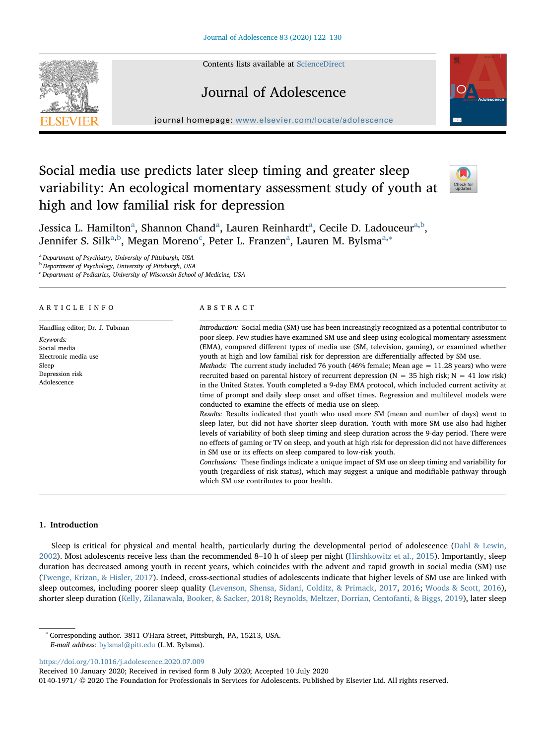Contents lists available at [ScienceDirect](http://www.sciencedirect.com/science/journal/01401971)



Journal of Adolescence journal homepage: [www.elsevier.com/locate/adolescence](https://www.elsevier.com/locate/adolescence)

# Social media use predicts later sleep timing and greater sleep variability: An ecological momentary assessment study of youth at high and low familial risk for depression



Jessic[a](#page-0-0) L. Hamilton<sup>a</sup>, Shannon Chand<sup>a</sup>, Lauren Reinhardt<sup>a</sup>, Cecile D. Ladouceur<sup>a[,b](#page-0-1)</sup>, Jennifer S. Silk<sup>[a](#page-0-0)[,b](#page-0-1)</sup>, Megan Moreno<sup>[c](#page-0-2)</sup>, Peter L. Franzen<sup>a</sup>, Lauren M. Bylsma<sup>a,</sup>\*

<span id="page-0-0"></span><sup>a</sup> Department of Psychiatry, University of Pittsburgh, USA

<span id="page-0-1"></span><sup>b</sup> Department of Psychology, University of Pittsburgh, USA

<span id="page-0-2"></span><sup>c</sup> Department of Pediatrics, University of Wisconsin School of Medicine, USA

# ARTICLE INFO

Handling editor; Dr. J. Tubman Keywords: Social media Electronic media use Sleep Depression risk Adolescence

### ABSTRACT

Introduction: Social media (SM) use has been increasingly recognized as a potential contributor to poor sleep. Few studies have examined SM use and sleep using ecological momentary assessment (EMA), compared different types of media use (SM, television, gaming), or examined whether youth at high and low familial risk for depression are differentially affected by SM use. *Methods:* The current study included 76 youth (46% female; Mean age  $= 11.28$  years) who were recruited based on parental history of recurrent depression ( $N = 35$  high risk;  $N = 41$  low risk) in the United States. Youth completed a 9-day EMA protocol, which included current activity at time of prompt and daily sleep onset and offset times. Regression and multilevel models were conducted to examine the effects of media use on sleep. Results: Results indicated that youth who used more SM (mean and number of days) went to sleep later, but did not have shorter sleep duration. Youth with more SM use also had higher levels of variability of both sleep timing and sleep duration across the 9-day period. There were no effects of gaming or TV on sleep, and youth at high risk for depression did not have differences in SM use or its effects on sleep compared to low-risk youth. Conclusions: These findings indicate a unique impact of SM use on sleep timing and variability for youth (regardless of risk status), which may suggest a unique and modifiable pathway through which SM use contributes to poor health.

# 1. Introduction

Sleep is critical for physical and mental health, particularly during the developmental period of adolescence ([Dahl & Lewin,](#page-7-0) [2002\)](#page-7-0). Most adolescents receive less than the recommended 8–10 h of sleep per night ([Hirshkowitz et al., 2015](#page-7-1)). Importantly, sleep duration has decreased among youth in recent years, which coincides with the advent and rapid growth in social media (SM) use ([Twenge, Krizan, & Hisler, 2017\)](#page-8-0). Indeed, cross-sectional studies of adolescents indicate that higher levels of SM use are linked with sleep outcomes, including poorer sleep quality [\(Levenson, Shensa, Sidani, Colditz, & Primack, 2017](#page-8-1), [2016](#page-7-2); [Woods & Scott, 2016\)](#page-8-2), shorter sleep duration [\(Kelly, Zilanawala, Booker, & Sacker, 2018;](#page-7-3) [Reynolds, Meltzer, Dorrian, Centofanti, & Biggs, 2019\)](#page-8-3), later sleep

<span id="page-0-3"></span><sup>∗</sup> Corresponding author. 3811 O'Hara Street, Pittsburgh, PA, 15213, USA. E-mail address: [bylsmal@pitt.edu](mailto:bylsmal@pitt.edu) (L.M. Bylsma).

<https://doi.org/10.1016/j.adolescence.2020.07.009>

Received 10 January 2020; Received in revised form 8 July 2020; Accepted 10 July 2020 0140-1971/ © 2020 The Foundation for Professionals in Services for Adolescents. Published by Elsevier Ltd. All rights reserved.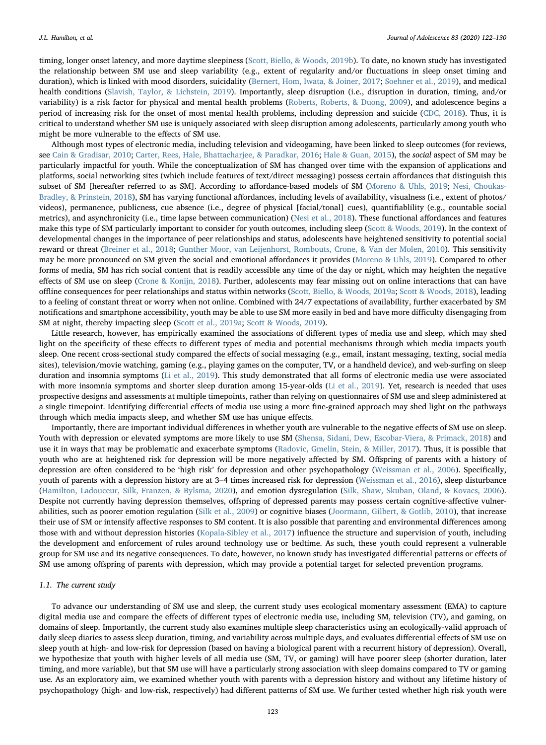timing, longer onset latency, and more daytime sleepiness ([Scott, Biello, & Woods, 2019b](#page-8-4)). To date, no known study has investigated the relationship between SM use and sleep variability (e.g., extent of regularity and/or fluctuations in sleep onset timing and duration), which is linked with mood disorders, suicidality [\(Bernert, Hom, Iwata, & Joiner, 2017;](#page-7-4) [Soehner et al., 2019\)](#page-8-5), and medical health conditions [\(Slavish, Taylor, & Lichstein, 2019\)](#page-8-6). Importantly, sleep disruption (i.e., disruption in duration, timing, and/or variability) is a risk factor for physical and mental health problems ([Roberts, Roberts, & Duong, 2009](#page-8-7)), and adolescence begins a period of increasing risk for the onset of most mental health problems, including depression and suicide [\(CDC, 2018\)](#page-7-5). Thus, it is critical to understand whether SM use is uniquely associated with sleep disruption among adolescents, particularly among youth who might be more vulnerable to the effects of SM use.

Although most types of electronic media, including television and videogaming, have been linked to sleep outcomes (for reviews, see [Cain & Gradisar, 2010;](#page-7-6) [Carter, Rees, Hale, Bhattacharjee, & Paradkar, 2016](#page-7-7); [Hale & Guan, 2015](#page-7-8)), the social aspect of SM may be particularly impactful for youth. While the conceptualization of SM has changed over time with the expansion of applications and platforms, social networking sites (which include features of text/direct messaging) possess certain affordances that distinguish this subset of SM [hereafter referred to as SM]. According to affordance-based models of SM [\(Moreno & Uhls, 2019;](#page-8-8) [Nesi, Choukas-](#page-8-9)[Bradley, & Prinstein, 2018\)](#page-8-9), SM has varying functional affordances, including levels of availability, visualness (i.e., extent of photos/ videos), permanence, publicness, cue absence (i.e., degree of physical [facial/tonal] cues), quantifiablility (e.g., countable social metrics), and asynchronicity (i.e., time lapse between communication) [\(Nesi et al., 2018\)](#page-8-9). These functional affordances and features make this type of SM particularly important to consider for youth outcomes, including sleep ([Scott & Woods, 2019](#page-8-10)). In the context of developmental changes in the importance of peer relationships and status, adolescents have heightened sensitivity to potential social reward or threat ([Breiner et al., 2018](#page-7-9); [Gunther Moor, van Leijenhorst, Rombouts, Crone, & Van der Molen, 2010\)](#page-7-10). This sensitivity may be more pronounced on SM given the social and emotional affordances it provides ([Moreno & Uhls, 2019\)](#page-8-8). Compared to other forms of media, SM has rich social content that is readily accessible any time of the day or night, which may heighten the negative effects of SM use on sleep [\(Crone & Konijn, 2018\)](#page-7-11). Further, adolescents may fear missing out on online interactions that can have offline consequences for peer relationships and status within networks [\(Scott, Biello, & Woods, 2019a](#page-8-11); [Scott & Woods, 2018](#page-8-12)), leading to a feeling of constant threat or worry when not online. Combined with 24/7 expectations of availability, further exacerbated by SM notifications and smartphone accessibility, youth may be able to use SM more easily in bed and have more difficulty disengaging from SM at night, thereby impacting sleep [\(Scott et al., 2019a](#page-8-11); [Scott & Woods, 2019](#page-8-10)).

Little research, however, has empirically examined the associations of different types of media use and sleep, which may shed light on the specificity of these effects to different types of media and potential mechanisms through which media impacts youth sleep. One recent cross-sectional study compared the effects of social messaging (e.g., email, instant messaging, texting, social media sites), television/movie watching, gaming (e.g., playing games on the computer, TV, or a handheld device), and web-surfing on sleep duration and insomnia symptoms ([Li et al., 2019](#page-8-13)). This study demonstrated that all forms of electronic media use were associated with more insomnia symptoms and shorter sleep duration among 15-year-olds ([Li et al., 2019\)](#page-8-13). Yet, research is needed that uses prospective designs and assessments at multiple timepoints, rather than relying on questionnaires of SM use and sleep administered at a single timepoint. Identifying differential effects of media use using a more fine-grained approach may shed light on the pathways through which media impacts sleep, and whether SM use has unique effects.

Importantly, there are important individual differences in whether youth are vulnerable to the negative effects of SM use on sleep. Youth with depression or elevated symptoms are more likely to use SM [\(Shensa, Sidani, Dew, Escobar-Viera, & Primack, 2018\)](#page-8-14) and use it in ways that may be problematic and exacerbate symptoms [\(Radovic, Gmelin, Stein, & Miller, 2017](#page-8-15)). Thus, it is possible that youth who are at heightened risk for depression will be more negatively affected by SM. Offspring of parents with a history of depression are often considered to be 'high risk' for depression and other psychopathology [\(Weissman et al., 2006](#page-8-16)). Specifically, youth of parents with a depression history are at 3–4 times increased risk for depression ([Weissman et al., 2016](#page-8-17)), sleep disturbance ([Hamilton, Ladouceur, Silk, Franzen, & Bylsma, 2020\)](#page-7-12), and emotion dysregulation ([Silk, Shaw, Skuban, Oland, & Kovacs, 2006\)](#page-8-18). Despite not currently having depression themselves, offspring of depressed parents may possess certain cognitive-affective vulnerabilities, such as poorer emotion regulation [\(Silk et al., 2009](#page-8-19)) or cognitive biases ([Joormann, Gilbert, & Gotlib, 2010](#page-7-13)), that increase their use of SM or intensify affective responses to SM content. It is also possible that parenting and environmental differences among those with and without depression histories ([Kopala-Sibley et al., 2017\)](#page-7-14) influence the structure and supervision of youth, including the development and enforcement of rules around technology use or bedtime. As such, these youth could represent a vulnerable group for SM use and its negative consequences. To date, however, no known study has investigated differential patterns or effects of SM use among offspring of parents with depression, which may provide a potential target for selected prevention programs.

#### 1.1. The current study

To advance our understanding of SM use and sleep, the current study uses ecological momentary assessment (EMA) to capture digital media use and compare the effects of different types of electronic media use, including SM, television (TV), and gaming, on domains of sleep. Importantly, the current study also examines multiple sleep characteristics using an ecologically-valid approach of daily sleep diaries to assess sleep duration, timing, and variability across multiple days, and evaluates differential effects of SM use on sleep youth at high- and low-risk for depression (based on having a biological parent with a recurrent history of depression). Overall, we hypothesize that youth with higher levels of all media use (SM, TV, or gaming) will have poorer sleep (shorter duration, later timing, and more variable), but that SM use will have a particularly strong association with sleep domains compared to TV or gaming use. As an exploratory aim, we examined whether youth with parents with a depression history and without any lifetime history of psychopathology (high- and low-risk, respectively) had different patterns of SM use. We further tested whether high risk youth were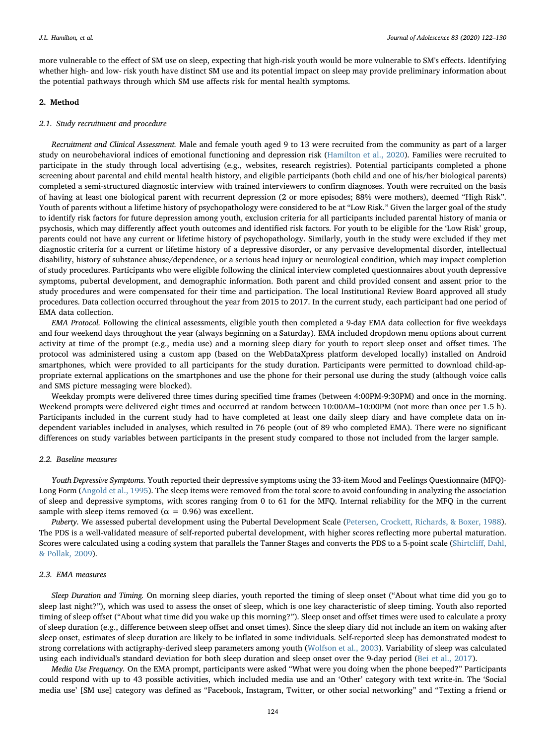more vulnerable to the effect of SM use on sleep, expecting that high-risk youth would be more vulnerable to SM's effects. Identifying whether high- and low- risk youth have distinct SM use and its potential impact on sleep may provide preliminary information about the potential pathways through which SM use affects risk for mental health symptoms.

# 2. Method

#### 2.1. Study recruitment and procedure

Recruitment and Clinical Assessment. Male and female youth aged 9 to 13 were recruited from the community as part of a larger study on neurobehavioral indices of emotional functioning and depression risk [\(Hamilton et al., 2020](#page-7-12)). Families were recruited to participate in the study through local advertising (e.g., websites, research registries). Potential participants completed a phone screening about parental and child mental health history, and eligible participants (both child and one of his/her biological parents) completed a semi-structured diagnostic interview with trained interviewers to confirm diagnoses. Youth were recruited on the basis of having at least one biological parent with recurrent depression (2 or more episodes; 88% were mothers), deemed "High Risk". Youth of parents without a lifetime history of psychopathology were considered to be at "Low Risk." Given the larger goal of the study to identify risk factors for future depression among youth, exclusion criteria for all participants included parental history of mania or psychosis, which may differently affect youth outcomes and identified risk factors. For youth to be eligible for the 'Low Risk' group, parents could not have any current or lifetime history of psychopathology. Similarly, youth in the study were excluded if they met diagnostic criteria for a current or lifetime history of a depressive disorder, or any pervasive developmental disorder, intellectual disability, history of substance abuse/dependence, or a serious head injury or neurological condition, which may impact completion of study procedures. Participants who were eligible following the clinical interview completed questionnaires about youth depressive symptoms, pubertal development, and demographic information. Both parent and child provided consent and assent prior to the study procedures and were compensated for their time and participation. The local Institutional Review Board approved all study procedures. Data collection occurred throughout the year from 2015 to 2017. In the current study, each participant had one period of EMA data collection.

EMA Protocol. Following the clinical assessments, eligible youth then completed a 9-day EMA data collection for five weekdays and four weekend days throughout the year (always beginning on a Saturday). EMA included dropdown menu options about current activity at time of the prompt (e.g., media use) and a morning sleep diary for youth to report sleep onset and offset times. The protocol was administered using a custom app (based on the WebDataXpress platform developed locally) installed on Android smartphones, which were provided to all participants for the study duration. Participants were permitted to download child-appropriate external applications on the smartphones and use the phone for their personal use during the study (although voice calls and SMS picture messaging were blocked).

Weekday prompts were delivered three times during specified time frames (between 4:00PM-9:30PM) and once in the morning. Weekend prompts were delivered eight times and occurred at random between 10:00AM–10:00PM (not more than once per 1.5 h). Participants included in the current study had to have completed at least one daily sleep diary and have complete data on independent variables included in analyses, which resulted in 76 people (out of 89 who completed EMA). There were no significant differences on study variables between participants in the present study compared to those not included from the larger sample.

# 2.2. Baseline measures

Youth Depressive Symptoms. Youth reported their depressive symptoms using the 33-item Mood and Feelings Questionnaire (MFQ)- Long Form ([Angold et al., 1995\)](#page-7-15). The sleep items were removed from the total score to avoid confounding in analyzing the association of sleep and depressive symptoms, with scores ranging from 0 to 61 for the MFQ. Internal reliability for the MFQ in the current sample with sleep items removed ( $\alpha = 0.96$ ) was excellent.

Puberty. We assessed pubertal development using the Pubertal Development Scale [\(Petersen, Crockett, Richards, & Boxer, 1988](#page-8-20)). The PDS is a well-validated measure of self-reported pubertal development, with higher scores reflecting more pubertal maturation. Scores were calculated using a coding system that parallels the Tanner Stages and converts the PDS to a 5-point scale ([Shirtcli](#page-8-21)ff, Dahl, [& Pollak, 2009](#page-8-21)).

#### 2.3. EMA measures

Sleep Duration and Timing. On morning sleep diaries, youth reported the timing of sleep onset ("About what time did you go to sleep last night?"), which was used to assess the onset of sleep, which is one key characteristic of sleep timing. Youth also reported timing of sleep offset ("About what time did you wake up this morning?"). Sleep onset and offset times were used to calculate a proxy of sleep duration (e.g., difference between sleep offset and onset times). Since the sleep diary did not include an item on waking after sleep onset, estimates of sleep duration are likely to be inflated in some individuals. Self-reported sleep has demonstrated modest to strong correlations with actigraphy-derived sleep parameters among youth ([Wolfson et al., 2003\)](#page-8-22). Variability of sleep was calculated using each individual's standard deviation for both sleep duration and sleep onset over the 9-day period ([Bei et al., 2017](#page-7-16)).

Media Use Frequency. On the EMA prompt, participants were asked "What were you doing when the phone beeped?" Participants could respond with up to 43 possible activities, which included media use and an 'Other' category with text write-in. The 'Social media use' [SM use] category was defined as "Facebook, Instagram, Twitter, or other social networking" and "Texting a friend or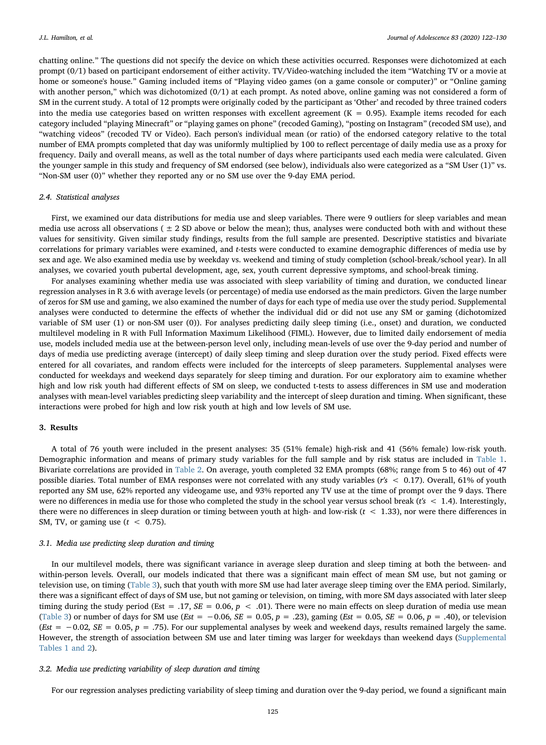chatting online." The questions did not specify the device on which these activities occurred. Responses were dichotomized at each prompt (0/1) based on participant endorsement of either activity. TV/Video-watching included the item "Watching TV or a movie at home or someone's house." Gaming included items of "Playing video games (on a game console or computer)" or "Online gaming with another person," which was dichotomized (0/1) at each prompt. As noted above, online gaming was not considered a form of SM in the current study. A total of 12 prompts were originally coded by the participant as 'Other' and recoded by three trained coders into the media use categories based on written responses with excellent agreement  $(K = 0.95)$ . Example items recoded for each category included "playing Minecraft" or "playing games on phone" (recoded Gaming), "posting on Instagram" (recoded SM use), and "watching videos" (recoded TV or Video). Each person's individual mean (or ratio) of the endorsed category relative to the total number of EMA prompts completed that day was uniformly multiplied by 100 to reflect percentage of daily media use as a proxy for frequency. Daily and overall means, as well as the total number of days where participants used each media were calculated. Given the younger sample in this study and frequency of SM endorsed (see below), individuals also were categorized as a "SM User (1)" vs. "Non-SM user (0)" whether they reported any or no SM use over the 9-day EMA period.

#### 2.4. Statistical analyses

First, we examined our data distributions for media use and sleep variables. There were 9 outliers for sleep variables and mean media use across all observations ( $\pm 2$  SD above or below the mean); thus, analyses were conducted both with and without these values for sensitivity. Given similar study findings, results from the full sample are presented. Descriptive statistics and bivariate correlations for primary variables were examined, and t-tests were conducted to examine demographic differences of media use by sex and age. We also examined media use by weekday vs. weekend and timing of study completion (school-break/school year). In all analyses, we covaried youth pubertal development, age, sex, youth current depressive symptoms, and school-break timing.

For analyses examining whether media use was associated with sleep variability of timing and duration, we conducted linear regression analyses in R 3.6 with average levels (or percentage) of media use endorsed as the main predictors. Given the large number of zeros for SM use and gaming, we also examined the number of days for each type of media use over the study period. Supplemental analyses were conducted to determine the effects of whether the individual did or did not use any SM or gaming (dichotomized variable of SM user (1) or non-SM user (0)). For analyses predicting daily sleep timing (i.e., onset) and duration, we conducted multilevel modeling in R with Full Information Maximum Likelihood (FIML). However, due to limited daily endorsement of media use, models included media use at the between-person level only, including mean-levels of use over the 9-day period and number of days of media use predicting average (intercept) of daily sleep timing and sleep duration over the study period. Fixed effects were entered for all covariates, and random effects were included for the intercepts of sleep parameters. Supplemental analyses were conducted for weekdays and weekend days separately for sleep timing and duration. For our exploratory aim to examine whether high and low risk youth had different effects of SM on sleep, we conducted t-tests to assess differences in SM use and moderation analyses with mean-level variables predicting sleep variability and the intercept of sleep duration and timing. When significant, these interactions were probed for high and low risk youth at high and low levels of SM use.

# 3. Results

A total of 76 youth were included in the present analyses: 35 (51% female) high-risk and 41 (56% female) low-risk youth. Demographic information and means of primary study variables for the full sample and by risk status are included in [Table 1.](#page-4-0) Bivariate correlations are provided in [Table 2](#page-4-1). On average, youth completed 32 EMA prompts (68%; range from 5 to 46) out of 47 possible diaries. Total number of EMA responses were not correlated with any study variables (r's < 0.17). Overall, 61% of youth reported any SM use, 62% reported any videogame use, and 93% reported any TV use at the time of prompt over the 9 days. There were no differences in media use for those who completed the study in the school year versus school break ( $t's < 1.4$ ). Interestingly, there were no differences in sleep duration or timing between youth at high- and low-risk  $(t < 1.33)$ , nor were there differences in SM, TV, or gaming use  $(t < 0.75)$ .

#### 3.1. Media use predicting sleep duration and timing

In our multilevel models, there was significant variance in average sleep duration and sleep timing at both the between- and within-person levels. Overall, our models indicated that there was a significant main effect of mean SM use, but not gaming or television use, on timing [\(Table 3](#page-4-2)), such that youth with more SM use had later average sleep timing over the EMA period. Similarly, there was a significant effect of days of SM use, but not gaming or television, on timing, with more SM days associated with later sleep timing during the study period (Est = .17,  $SE = 0.06$ ,  $p < .01$ ). There were no main effects on sleep duration of media use mean ([Table 3](#page-4-2)) or number of days for SM use (Est = -0.06, SE = 0.05, p = .23), gaming (Est = 0.05, SE = 0.06, p = .40), or television (Est =  $-0.02$ , SE = 0.05, p = .75). For our supplemental analyses by week and weekend days, results remained largely the same. However, the strength of association between SM use and later timing was larger for weekdays than weekend days (Supplemental Tables 1 and 2).

#### 3.2. Media use predicting variability of sleep duration and timing

For our regression analyses predicting variability of sleep timing and duration over the 9-day period, we found a significant main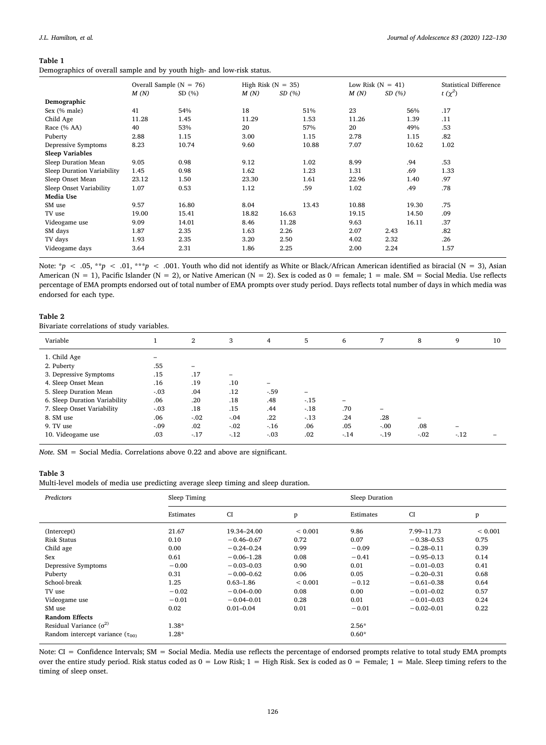# <span id="page-4-0"></span>Table 1

Demographics of overall sample and by youth high- and low-risk status.

|                            | Overall Sample ( $N = 76$ ) |       | High Risk $(N = 35)$ |       |       | Low Risk $(N = 41)$ |       |       | <b>Statistical Difference</b> |  |
|----------------------------|-----------------------------|-------|----------------------|-------|-------|---------------------|-------|-------|-------------------------------|--|
|                            | M(N)                        | SD(%) | M(N)                 | SD(%) |       | M(N)                | SD(%) |       | $t(x^2)$                      |  |
| Demographic                |                             |       |                      |       |       |                     |       |       |                               |  |
| Sex (% male)               | 41                          | 54%   | 18                   |       | 51%   | 23                  |       | 56%   | .17                           |  |
| Child Age                  | 11.28                       | 1.45  | 11.29                |       | 1.53  | 11.26               |       | 1.39  | .11                           |  |
| Race (% AA)                | 40                          | 53%   | 20                   |       | 57%   | 20                  |       | 49%   | .53                           |  |
| Puberty                    | 2.88                        | 1.15  | 3.00                 |       | 1.15  | 2.78                |       | 1.15  | .82                           |  |
| Depressive Symptoms        | 8.23                        | 10.74 | 9.60                 |       | 10.88 | 7.07                |       | 10.62 | 1.02                          |  |
| <b>Sleep Variables</b>     |                             |       |                      |       |       |                     |       |       |                               |  |
| Sleep Duration Mean        | 9.05                        | 0.98  | 9.12                 |       | 1.02  | 8.99                |       | .94   | .53                           |  |
| Sleep Duration Variability | 1.45                        | 0.98  | 1.62                 |       | 1.23  | 1.31                |       | .69   | 1.33                          |  |
| Sleep Onset Mean           | 23.12                       | 1.50  | 23.30                |       | 1.61  | 22.96               |       | 1.40  | .97                           |  |
| Sleep Onset Variability    | 1.07                        | 0.53  | 1.12                 |       | .59   | 1.02                |       | .49   | .78                           |  |
| Media Use                  |                             |       |                      |       |       |                     |       |       |                               |  |
| SM use                     | 9.57                        | 16.80 | 8.04                 |       | 13.43 | 10.88               |       | 19.30 | .75                           |  |
| TV use                     | 19.00                       | 15.41 | 18.82                | 16.63 |       | 19.15               |       | 14.50 | .09                           |  |
| Videogame use              | 9.09                        | 14.01 | 8.46                 | 11.28 |       | 9.63                |       | 16.11 | .37                           |  |
| SM days                    | 1.87                        | 2.35  | 1.63                 | 2.26  |       | 2.07                | 2.43  |       | .82                           |  |
| TV days                    | 1.93                        | 2.35  | 3.20                 | 2.50  |       | 4.02                | 2.32  |       | .26                           |  |
| Videogame days             | 3.64                        | 2.31  | 1.86                 | 2.25  |       | 2.00                | 2.24  |       | 1.57                          |  |

Note: \*p < .05, \*\*p < .01, \*\*\*p < .001. Youth who did not identify as White or Black/African American identified as biracial (N = 3), Asian American (N = 1), Pacific Islander (N = 2), or Native American (N = 2). Sex is coded as  $0 =$  female; 1 = male. SM = Social Media. Use reflects percentage of EMA prompts endorsed out of total number of EMA prompts over study period. Days reflects total number of days in which media was endorsed for each type.

# <span id="page-4-1"></span>Table 2

Bivariate correlations of study variables.

| Variable                      |                          | $\overline{2}$ | 3      | $\overline{4}$           | 5                        | 6      | 7      | 8      | 9     | 10 |
|-------------------------------|--------------------------|----------------|--------|--------------------------|--------------------------|--------|--------|--------|-------|----|
| 1. Child Age                  | $\overline{\phantom{0}}$ |                |        |                          |                          |        |        |        |       |    |
| 2. Puberty                    | .55                      | -              |        |                          |                          |        |        |        |       |    |
| 3. Depressive Symptoms        | .15                      | .17            | -      |                          |                          |        |        |        |       |    |
| 4. Sleep Onset Mean           | .16                      | .19            | .10    | $\overline{\phantom{0}}$ |                          |        |        |        |       |    |
| 5. Sleep Duration Mean        | $-.03$                   | .04            | .12    | $-.59$                   | $\overline{\phantom{0}}$ |        |        |        |       |    |
| 6. Sleep Duration Variability | .06                      | .20            | .18    | .48                      | $-15$                    | -      |        |        |       |    |
| 7. Sleep Onset Variability    | $-.03$                   | .18            | .15    | .44                      | $-18$                    | .70    |        |        |       |    |
| 8. SM use                     | .06                      | $-.02$         | $-.04$ | .22                      | $-13$                    | .24    | .28    |        |       |    |
| 9. TV use                     | $-.09$                   | .02            | $-.02$ | $-16$                    | .06                      | .05    | $-.00$ | .08    | -     |    |
| 10. Videogame use             | .03                      | $-17$          | $-.12$ | $-.03$                   | .02                      | $-.14$ | $-19$  | $-.02$ | $-12$ |    |
|                               |                          |                |        |                          |                          |        |        |        |       |    |

Note. SM = Social Media. Correlations above 0.22 and above are significant.

# <span id="page-4-2"></span>Table 3

Multi-level models of media use predicting average sleep timing and sleep duration.

| <b>Predictors</b>                          | Sleep Timing |                |             |           | Sleep Duration |             |  |  |
|--------------------------------------------|--------------|----------------|-------------|-----------|----------------|-------------|--|--|
|                                            | Estimates    | <b>CI</b>      | p           | Estimates | <b>CI</b>      | p           |  |  |
| (Intercept)                                | 21.67        | 19.34-24.00    | ${}< 0.001$ | 9.86      | 7.99-11.73     | ${}< 0.001$ |  |  |
| <b>Risk Status</b>                         | 0.10         | $-0.46 - 0.67$ | 0.72        | 0.07      | $-0.38 - 0.53$ | 0.75        |  |  |
| Child age                                  | 0.00         | $-0.24 - 0.24$ | 0.99        | $-0.09$   | $-0.28 - 0.11$ | 0.39        |  |  |
| Sex                                        | 0.61         | $-0.06 - 1.28$ | 0.08        | $-0.41$   | $-0.95 - 0.13$ | 0.14        |  |  |
| Depressive Symptoms                        | $-0.00$      | $-0.03 - 0.03$ | 0.90        | 0.01      | $-0.01 - 0.03$ | 0.41        |  |  |
| Puberty                                    | 0.31         | $-0.00 - 0.62$ | 0.06        | 0.05      | $-0.20 - 0.31$ | 0.68        |  |  |
| School-break                               | 1.25         | $0.63 - 1.86$  | ${}< 0.001$ | $-0.12$   | $-0.61 - 0.38$ | 0.64        |  |  |
| TV use                                     | $-0.02$      | $-0.04 - 0.00$ | 0.08        | 0.00      | $-0.01 - 0.02$ | 0.57        |  |  |
| Videogame use                              | $-0.01$      | $-0.04 - 0.01$ | 0.28        | 0.01      | $-0.01 - 0.03$ | 0.24        |  |  |
| SM use                                     | 0.02         | $0.01 - 0.04$  | 0.01        | $-0.01$   | $-0.02 - 0.01$ | 0.22        |  |  |
| <b>Random Effects</b>                      |              |                |             |           |                |             |  |  |
| Residual Variance $(\sigma^{2})$           | $1.38*$      |                |             | $2.56*$   |                |             |  |  |
| Random intercept variance ( $\tau_{000}$ ) | $1.28*$      |                |             | $0.60*$   |                |             |  |  |

Note: CI = Confidence Intervals; SM = Social Media. Media use reflects the percentage of endorsed prompts relative to total study EMA prompts over the entire study period. Risk status coded as 0 = Low Risk; 1 = High Risk. Sex is coded as 0 = Female; 1 = Male. Sleep timing refers to the timing of sleep onset.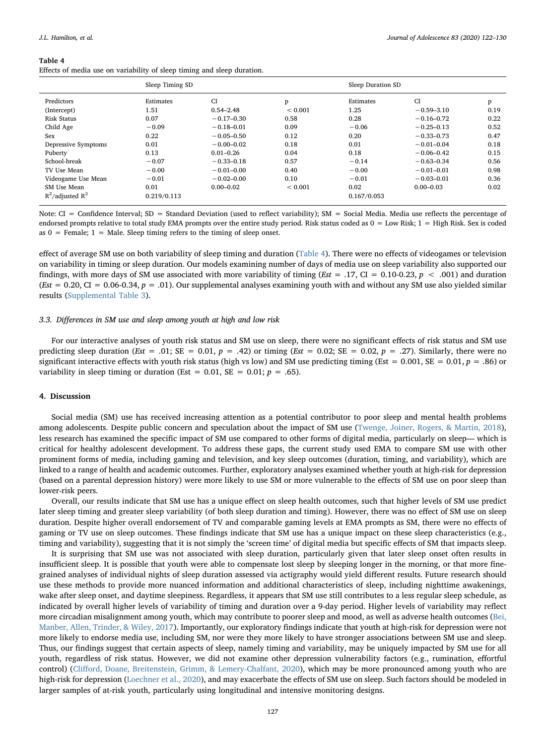#### J.L. Hamilton, et al. *Journal of Adolescence 83 (2020) 122–130*

# <span id="page-5-0"></span>Table 4 Effects of media use on variability of sleep timing and sleep duration.

|                       | Sleep Timing SD |                |             | Sleep Duration SD |                |      |  |
|-----------------------|-----------------|----------------|-------------|-------------------|----------------|------|--|
| Predictors            | Estimates       | <b>CI</b>      | p           | <b>Estimates</b>  | <b>CI</b>      | p    |  |
| (Intercept)           | 1.51            | $0.54 - 2.48$  | ${}< 0.001$ | 1.25              | $-0.59 - 3.10$ | 0.19 |  |
| <b>Risk Status</b>    | 0.07            | $-0.17 - 0.30$ | 0.58        | 0.28              | $-0.16 - 0.72$ | 0.22 |  |
| Child Age             | $-0.09$         | $-0.18 - 0.01$ | 0.09        | $-0.06$           | $-0.25 - 0.13$ | 0.52 |  |
| Sex                   | 0.22            | $-0.05 - 0.50$ | 0.12        | 0.20              | $-0.33 - 0.73$ | 0.47 |  |
| Depressive Symptoms   | 0.01            | $-0.00 - 0.02$ | 0.18        | 0.01              | $-0.01 - 0.04$ | 0.18 |  |
| Puberty               | 0.13            | $0.01 - 0.26$  | 0.04        | 0.18              | $-0.06 - 0.42$ | 0.15 |  |
| School-break          | $-0.07$         | $-0.33 - 0.18$ | 0.57        | $-0.14$           | $-0.63 - 0.34$ | 0.56 |  |
| TV Use Mean           | $-0.00$         | $-0.01 - 0.00$ | 0.40        | $-0.00$           | $-0.01 - 0.01$ | 0.98 |  |
| Videogame Use Mean    | $-0.01$         | $-0.02 - 0.00$ | 0.10        | $-0.01$           | $-0.03 - 0.01$ | 0.36 |  |
| SM Use Mean           | 0.01            | $0.00 - 0.02$  | ${}< 0.001$ | 0.02              | $0.00 - 0.03$  | 0.02 |  |
| $R^2$ /adjusted $R^2$ | 0.219/0.113     |                |             | 0.167/0.053       |                |      |  |

Note: CI = Confidence Interval; SD = Standard Deviation (used to reflect variability); SM = Social Media. Media use reflects the percentage of endorsed prompts relative to total study EMA prompts over the entire study period. Risk status coded as  $0 = Low Risk$ ;  $1 = High Risk$ . Sex is coded as  $0 =$  Female;  $1 =$  Male. Sleep timing refers to the timing of sleep onset.

effect of average SM use on both variability of sleep timing and duration [\(Table 4](#page-5-0)). There were no effects of videogames or television on variability in timing or sleep duration. Our models examining number of days of media use on sleep variability also supported our findings, with more days of SM use associated with more variability of timing (Est = .17, CI = 0.10-0.23,  $p < .001$ ) and duration (Est = 0.20, CI = 0.06-0.34,  $p = .01$ ). Our supplemental analyses examining youth with and without any SM use also yielded similar results (Supplemental Table 3).

#### 3.3. Differences in SM use and sleep among youth at high and low risk

For our interactive analyses of youth risk status and SM use on sleep, there were no significant effects of risk status and SM use predicting sleep duration (Est = .01; SE = 0.01, p = .42) or timing (Est = 0.02; SE = 0.02, p = .27). Similarly, there were no significant interactive effects with youth risk status (high vs low) and SM use predicting timing (Est =  $0.001$ , SE =  $0.01$ ,  $p = .86$ ) or variability in sleep timing or duration (Est =  $0.01$ , SE =  $0.01$ ;  $p = .65$ ).

## 4. Discussion

Social media (SM) use has received increasing attention as a potential contributor to poor sleep and mental health problems among adolescents. Despite public concern and speculation about the impact of SM use ([Twenge, Joiner, Rogers, & Martin, 2018](#page-8-23)), less research has examined the specific impact of SM use compared to other forms of digital media, particularly on sleep— which is critical for healthy adolescent development. To address these gaps, the current study used EMA to compare SM use with other prominent forms of media, including gaming and television, and key sleep outcomes (duration, timing, and variability), which are linked to a range of health and academic outcomes. Further, exploratory analyses examined whether youth at high-risk for depression (based on a parental depression history) were more likely to use SM or more vulnerable to the effects of SM use on poor sleep than lower-risk peers.

Overall, our results indicate that SM use has a unique effect on sleep health outcomes, such that higher levels of SM use predict later sleep timing and greater sleep variability (of both sleep duration and timing). However, there was no effect of SM use on sleep duration. Despite higher overall endorsement of TV and comparable gaming levels at EMA prompts as SM, there were no effects of gaming or TV use on sleep outcomes. These findings indicate that SM use has a unique impact on these sleep characteristics (e.g., timing and variability), suggesting that it is not simply the 'screen time' of digital media but specific effects of SM that impacts sleep.

It is surprising that SM use was not associated with sleep duration, particularly given that later sleep onset often results in insufficient sleep. It is possible that youth were able to compensate lost sleep by sleeping longer in the morning, or that more finegrained analyses of individual nights of sleep duration assessed via actigraphy would yield different results. Future research should use these methods to provide more nuanced information and additional characteristics of sleep, including nighttime awakenings, wake after sleep onset, and daytime sleepiness. Regardless, it appears that SM use still contributes to a less regular sleep schedule, as indicated by overall higher levels of variability of timing and duration over a 9-day period. Higher levels of variability may reflect more circadian misalignment among youth, which may contribute to poorer sleep and mood, as well as adverse health outcomes ([Bei,](#page-7-16) Manber, [Allen, Trinder, & Wiley, 2017](#page-7-16)). Importantly, our exploratory findings indicate that youth at high-risk for depression were not more likely to endorse media use, including SM, nor were they more likely to have stronger associations between SM use and sleep. Thus, our findings suggest that certain aspects of sleep, namely timing and variability, may be uniquely impacted by SM use for all youth, regardless of risk status. However, we did not examine other depression vulnerability factors (e.g., rumination, effortful control) (Cliff[ord, Doane, Breitenstein, Grimm, & Lemery-Chalfant, 2020](#page-7-17)), which may be more pronounced among youth who are high-risk for depression ([Loechner et al., 2020](#page-8-24)), and may exacerbate the effects of SM use on sleep. Such factors should be modeled in larger samples of at-risk youth, particularly using longitudinal and intensive monitoring designs.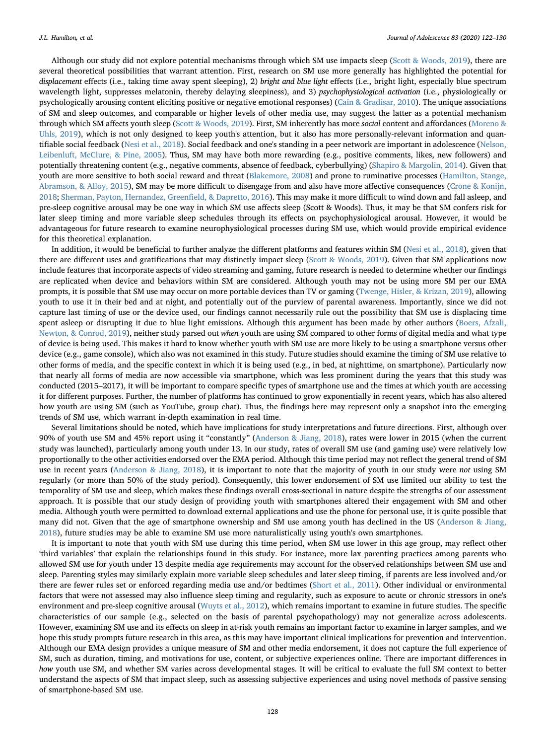Although our study did not explore potential mechanisms through which SM use impacts sleep ([Scott & Woods, 2019](#page-8-10)), there are several theoretical possibilities that warrant attention. First, research on SM use more generally has highlighted the potential for displacement effects (i.e., taking time away spent sleeping), 2) bright and blue light effects (i.e., bright light, especially blue spectrum wavelength light, suppresses melatonin, thereby delaying sleepiness), and 3) psychophysiological activation (i.e., physiologically or psychologically arousing content eliciting positive or negative emotional responses) ([Cain & Gradisar, 2010](#page-7-6)). The unique associations of SM and sleep outcomes, and comparable or higher levels of other media use, may suggest the latter as a potential mechanism through which SM affects youth sleep [\(Scott & Woods, 2019](#page-8-10)). First, SM inherently has more social content and affordances [\(Moreno &](#page-8-8) [Uhls, 2019\)](#page-8-8), which is not only designed to keep youth's attention, but it also has more personally-relevant information and quantifiable social feedback [\(Nesi et al., 2018](#page-8-9)). Social feedback and one's standing in a peer network are important in adolescence ([Nelson,](#page-8-25) [Leibenluft, McClure, & Pine, 2005\)](#page-8-25). Thus, SM may have both more rewarding (e.g., positive comments, likes, new followers) and potentially threatening content (e.g., negative comments, absence of feedback, cyberbullying) [\(Shapiro & Margolin, 2014\)](#page-8-26). Given that youth are more sensitive to both social reward and threat ([Blakemore, 2008\)](#page-7-18) and prone to ruminative processes ([Hamilton, Stange,](#page-7-19) [Abramson, & Alloy, 2015](#page-7-19)), SM may be more difficult to disengage from and also have more affective consequences ([Crone & Konijn,](#page-7-11) [2018;](#page-7-11) [Sherman, Payton, Hernandez, Green](#page-8-27)field, & Dapretto, 2016). This may make it more difficult to wind down and fall asleep, and pre-sleep cognitive arousal may be one way in which SM use affects sleep (Scott & Woods). Thus, it may be that SM confers risk for later sleep timing and more variable sleep schedules through its effects on psychophysiological arousal. However, it would be advantageous for future research to examine neurophysiological processes during SM use, which would provide empirical evidence for this theoretical explanation.

In addition, it would be beneficial to further analyze the different platforms and features within SM [\(Nesi et al., 2018\)](#page-8-9), given that there are different uses and gratifications that may distinctly impact sleep [\(Scott & Woods, 2019](#page-8-10)). Given that SM applications now include features that incorporate aspects of video streaming and gaming, future research is needed to determine whether our findings are replicated when device and behaviors within SM are considered. Although youth may not be using more SM per our EMA prompts, it is possible that SM use may occur on more portable devices than TV or gaming [\(Twenge, Hisler, & Krizan, 2019\)](#page-8-28), allowing youth to use it in their bed and at night, and potentially out of the purview of parental awareness. Importantly, since we did not capture last timing of use or the device used, our findings cannot necessarily rule out the possibility that SM use is displacing time spent asleep or disrupting it due to blue light emissions. Although this argument has been made by other authors ([Boers, Afzali,](#page-7-20) [Newton, & Conrod, 2019](#page-7-20)), neither study parsed out when youth are using SM compared to other forms of digital media and what type of device is being used. This makes it hard to know whether youth with SM use are more likely to be using a smartphone versus other device (e.g., game console), which also was not examined in this study. Future studies should examine the timing of SM use relative to other forms of media, and the specific context in which it is being used (e.g., in bed, at nighttime, on smartphone). Particularly now that nearly all forms of media are now accessible via smartphone, which was less prominent during the years that this study was conducted (2015–2017), it will be important to compare specific types of smartphone use and the times at which youth are accessing it for different purposes. Further, the number of platforms has continued to grow exponentially in recent years, which has also altered how youth are using SM (such as YouTube, group chat). Thus, the findings here may represent only a snapshot into the emerging trends of SM use, which warrant in-depth examination in real time.

Several limitations should be noted, which have implications for study interpretations and future directions. First, although over 90% of youth use SM and 45% report using it "constantly" ([Anderson & Jiang, 2018\)](#page-7-21), rates were lower in 2015 (when the current study was launched), particularly among youth under 13. In our study, rates of overall SM use (and gaming use) were relatively low proportionally to the other activities endorsed over the EMA period. Although this time period may not reflect the general trend of SM use in recent years [\(Anderson & Jiang, 2018\)](#page-7-21), it is important to note that the majority of youth in our study were not using SM regularly (or more than 50% of the study period). Consequently, this lower endorsement of SM use limited our ability to test the temporality of SM use and sleep, which makes these findings overall cross-sectional in nature despite the strengths of our assessment approach. It is possible that our study design of providing youth with smartphones altered their engagement with SM and other media. Although youth were permitted to download external applications and use the phone for personal use, it is quite possible that many did not. Given that the age of smartphone ownership and SM use among youth has declined in the US [\(Anderson & Jiang,](#page-7-21) [2018\)](#page-7-21), future studies may be able to examine SM use more naturalistically using youth's own smartphones.

It is important to note that youth with SM use during this time period, when SM use lower in this age group, may reflect other 'third variables' that explain the relationships found in this study. For instance, more lax parenting practices among parents who allowed SM use for youth under 13 despite media age requirements may account for the observed relationships between SM use and sleep. Parenting styles may similarly explain more variable sleep schedules and later sleep timing, if parents are less involved and/or there are fewer rules set or enforced regarding media use and/or bedtimes ([Short et al., 2011](#page-8-29)). Other individual or environmental factors that were not assessed may also influence sleep timing and regularity, such as exposure to acute or chronic stressors in one's environment and pre-sleep cognitive arousal [\(Wuyts et al., 2012\)](#page-8-30), which remains important to examine in future studies. The specific characteristics of our sample (e.g., selected on the basis of parental psychopathology) may not generalize across adolescents. However, examining SM use and its effects on sleep in at-risk youth remains an important factor to examine in larger samples, and we hope this study prompts future research in this area, as this may have important clinical implications for prevention and intervention. Although our EMA design provides a unique measure of SM and other media endorsement, it does not capture the full experience of SM, such as duration, timing, and motivations for use, content, or subjective experiences online. There are important differences in how youth use SM, and whether SM varies across developmental stages. It will be critical to evaluate the full SM context to better understand the aspects of SM that impact sleep, such as assessing subjective experiences and using novel methods of passive sensing of smartphone-based SM use.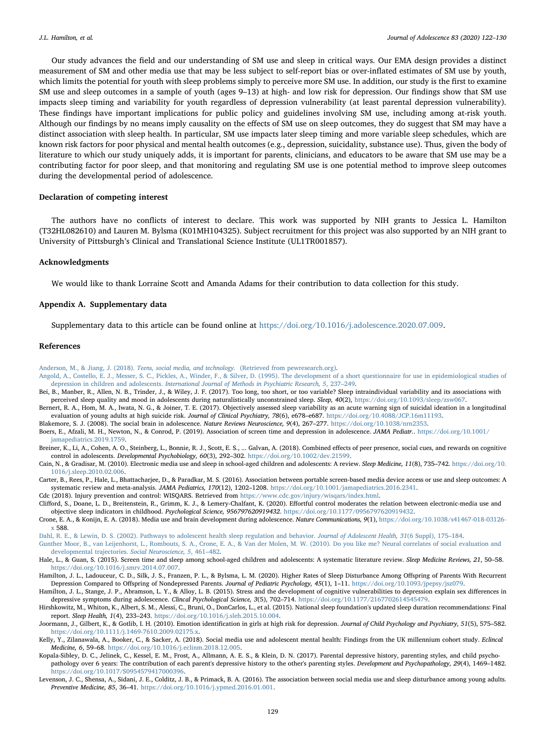Our study advances the field and our understanding of SM use and sleep in critical ways. Our EMA design provides a distinct measurement of SM and other media use that may be less subject to self-report bias or over-inflated estimates of SM use by youth, which limits the potential for youth with sleep problems simply to perceive more SM use. In addition, our study is the first to examine SM use and sleep outcomes in a sample of youth (ages 9–13) at high- and low risk for depression. Our findings show that SM use impacts sleep timing and variability for youth regardless of depression vulnerability (at least parental depression vulnerability). These findings have important implications for public policy and guidelines involving SM use, including among at-risk youth. Although our findings by no means imply causality on the effects of SM use on sleep outcomes, they do suggest that SM may have a distinct association with sleep health. In particular, SM use impacts later sleep timing and more variable sleep schedules, which are known risk factors for poor physical and mental health outcomes (e.g., depression, suicidality, substance use). Thus, given the body of literature to which our study uniquely adds, it is important for parents, clinicians, and educators to be aware that SM use may be a contributing factor for poor sleep, and that monitoring and regulating SM use is one potential method to improve sleep outcomes during the developmental period of adolescence.

#### Declaration of competing interest

The authors have no conflicts of interest to declare. This work was supported by NIH grants to Jessica L. Hamilton (T32HL082610) and Lauren M. Bylsma (K01MH104325). Subject recruitment for this project was also supported by an NIH grant to University of Pittsburgh's Clinical and Translational Science Institute (UL1TR001857).

#### Acknowledgments

We would like to thank Lorraine Scott and Amanda Adams for their contribution to data collection for this study.

#### Appendix A. Supplementary data

Supplementary data to this article can be found online at <https://doi.org/10.1016/j.adolescence.2020.07.009>.

# References

<span id="page-7-21"></span>Anderson, M., & Jiang, J. (2018). [Teens, social media, and technology.](http://refhub.elsevier.com/S0140-1971(20)30104-4/sref1) (Retrieved from pewresearch.org).

- <span id="page-7-15"></span>[Angold, A., Costello, E. J., Messer, S. C., Pickles, A., Winder, F., & Silver, D. \(1995\). The development of a short questionnaire for use in epidemiological studies of](http://refhub.elsevier.com/S0140-1971(20)30104-4/sref2) depression in children and adolescents. [International Journal of Methods in Psychiatric Research, 5](http://refhub.elsevier.com/S0140-1971(20)30104-4/sref2), 237–249.
- <span id="page-7-16"></span>Bei, B., Manber, R., Allen, N. B., Trinder, J., & Wiley, J. F. (2017). Too long, too short, or too variable? Sleep intraindividual variability and its associations with perceived sleep quality and mood in adolescents during naturalistically unconstrained sleep. Sleep, 40(2), <https://doi.org/10.1093/sleep/zsw067>.
- <span id="page-7-4"></span>Bernert, R. A., Hom, M. A., Iwata, N. G., & Joiner, T. E. (2017). Objectively assessed sleep variability as an acute warning sign of suicidal ideation in a longitudinal evaluation of young adults at high suicide risk. Journal of Clinical Psychiatry, 78(6), e678-e687. [https://doi.org/10.4088/JCP.16m11193.](https://doi.org/10.4088/JCP.16m11193)

<span id="page-7-18"></span>Blakemore, S. J. (2008). The social brain in adolescence. Nature Reviews Neuroscience, 9(4), 267–277. [https://doi.org/10.1038/nrn2353.](https://doi.org/10.1038/nrn2353)

<span id="page-7-20"></span>Boers, E., Afzali, M. H., Newton, N., & Conrod, P. (2019). Association of screen time and depression in adolescence. JAMA Pediatr.. [https://doi.org/10.1001/](https://doi.org/10.1001/jamapediatrics.2019.1759) [jamapediatrics.2019.1759.](https://doi.org/10.1001/jamapediatrics.2019.1759)

<span id="page-7-9"></span>Breiner, K., Li, A., Cohen, A. O., Steinberg, L., Bonnie, R. J., Scott, E. S., ... Galvan, A. (2018). Combined effects of peer presence, social cues, and rewards on cognitive control in adolescents. Developmental Psychobiology, 60(3), 292–302. [https://doi.org/10.1002/dev.21599.](https://doi.org/10.1002/dev.21599)

<span id="page-7-6"></span>Cain, N., & Gradisar, M. (2010). Electronic media use and sleep in school-aged children and adolescents: A review. Sleep Medicine, 11(8), 735–742. [https://doi.org/10.](https://doi.org/10.1016/j.sleep.2010.02.006) [1016/j.sleep.2010.02.006.](https://doi.org/10.1016/j.sleep.2010.02.006)

<span id="page-7-7"></span>Carter, B., Rees, P., Hale, L., Bhattacharjee, D., & Paradkar, M. S. (2016). Association between portable screen-based media device access or use and sleep outcomes: A systematic review and meta-analysis. JAMA Pediatrics, 170(12), 1202–1208. <https://doi.org/10.1001/jamapediatrics.2016.2341>.

<span id="page-7-5"></span>Cdc (2018). Injury prevention and control: WISQARS. Retrieved from [https://www.cdc.gov/injury/wisqars/index.html.](https://www.cdc.gov/injury/wisqars/index.html)

- <span id="page-7-17"></span>Clifford, S., Doane, L. D., Breitenstein, R., Grimm, K. J., & Lemery-Chalfant, K. (2020). Effortful control moderates the relation between electronic-media use and objective sleep indicators in childhood. Psychological Science, 956797620919432. <https://doi.org/10.1177/0956797620919432>.
- <span id="page-7-11"></span>Crone, E. A., & Konijn, E. A. (2018). Media use and brain development during adolescence. Nature Communications, 9(1), [https://doi.org/10.1038/s41467-018-03126](https://doi.org/10.1038/s41467-018-03126-x) [x](https://doi.org/10.1038/s41467-018-03126-x) 588.

<span id="page-7-0"></span>[Dahl, R. E., & Lewin, D. S. \(2002\). Pathways to adolescent health sleep regulation and behavior.](http://refhub.elsevier.com/S0140-1971(20)30104-4/sref13) Journal of Adolescent Health, 31(6 Suppl), 175–184.

- <span id="page-7-10"></span>[Gunther Moor, B., van Leijenhorst, L., Rombouts, S. A., Crone, E. A., & Van der Molen, M. W. \(2010\). Do you like me? Neural correlates of social evaluation and](http://refhub.elsevier.com/S0140-1971(20)30104-4/sref14) [developmental trajectories.](http://refhub.elsevier.com/S0140-1971(20)30104-4/sref14) Social Neuroscience, 5, 461–482.
- <span id="page-7-8"></span>Hale, L., & Guan, S. (2015). Screen time and sleep among school-aged children and adolescents: A systematic literature review. Sleep Medicine Reviews, 21, 50-58. [https://doi.org/10.1016/j.smrv.2014.07.007.](https://doi.org/10.1016/j.smrv.2014.07.007)
- <span id="page-7-12"></span>Hamilton, J. L., Ladouceur, C. D., Silk, J. S., Franzen, P. L., & Bylsma, L. M. (2020). Higher Rates of Sleep Disturbance Among Offspring of Parents With Recurrent Depression Compared to Offspring of Nondepressed Parents. Journal of Pediatric Psychology, 45(1), 1-11. <https://doi.org/10.1093/jpepsy/jsz079>.
- <span id="page-7-19"></span>Hamilton, J. L., Stange, J. P., Abramson, L. Y., & Alloy, L. B. (2015). Stress and the development of cognitive vulnerabilities to depression explain sex differences in depressive symptoms during adolescence. Clincal Psychological Science, 3(5), 702-714. <https://doi.org/10.1177/2167702614545479>.
- <span id="page-7-1"></span>Hirshkowitz, M., Whiton, K., Albert, S. M., Alessi, C., Bruni, O., DonCarlos, L., et al. (2015). National sleep foundation's updated sleep duration recommendations: Final report. Sleep Health, 1(4), 233–243. <https://doi.org/10.1016/j.sleh.2015.10.004>.
- <span id="page-7-13"></span>Joormann, J., Gilbert, K., & Gotlib, I. H. (2010). Emotion identification in girls at high risk for depression. Journal of Child Psychology and Psychiatry, 51(5), 575–582. <https://doi.org/10.1111/j.1469-7610.2009.02175.x>.
- <span id="page-7-3"></span>Kelly, Y., Zilanawala, A., Booker, C., & Sacker, A. (2018). Social media use and adolescent mental health: Findings from the UK millennium cohort study. Eclincal Medicine, 6, 59–68. [https://doi.org/10.1016/j.eclinm.2018.12.005.](https://doi.org/10.1016/j.eclinm.2018.12.005)
- <span id="page-7-14"></span>Kopala-Sibley, D. C., Jelinek, C., Kessel, E. M., Frost, A., Allmann, A. E. S., & Klein, D. N. (2017). Parental depressive history, parenting styles, and child psychopathology over 6 years: The contribution of each parent's depressive history to the other's parenting styles. Development and Psychopathology, 29(4), 1469–1482. <https://doi.org/10.1017/S0954579417000396>.
- <span id="page-7-2"></span>Levenson, J. C., Shensa, A., Sidani, J. E., Colditz, J. B., & Primack, B. A. (2016). The association between social media use and sleep disturbance among young adults. Preventive Medicine, 85, 36–41. [https://doi.org/10.1016/j.ypmed.2016.01.001.](https://doi.org/10.1016/j.ypmed.2016.01.001)